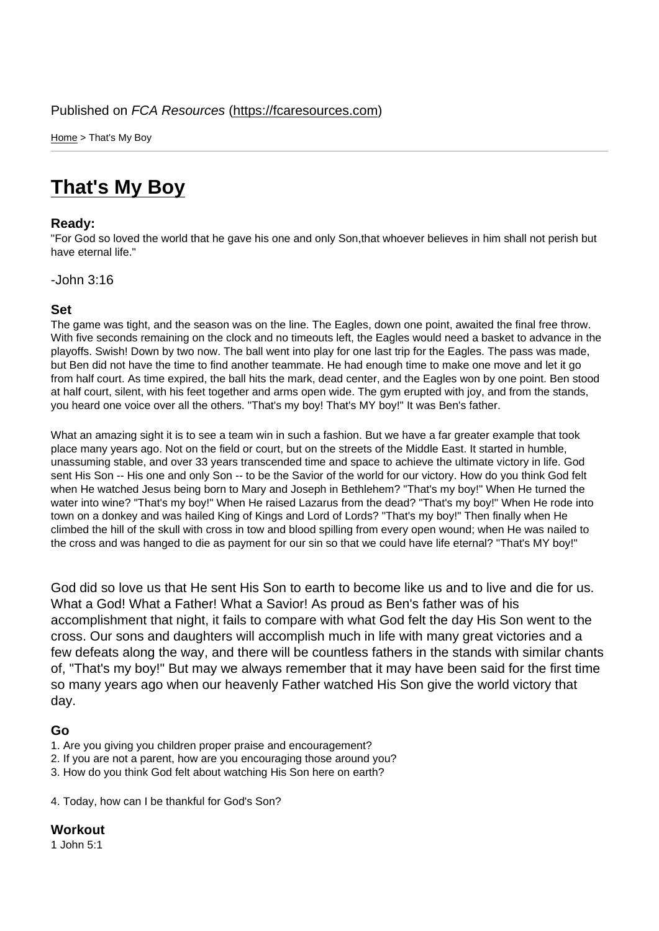Home > That's My Boy

## [Tha](https://fcaresources.com/)t's My Boy

## Ready:

["For God so loved the world](https://fcaresources.com/devotional/thats-my-boy) that he gave his one and only Son,that whoever believes in him shall not perish but have eternal life."

-John 3:16

## Set

The game was tight, and the season was on the line. The Eagles, down one point, awaited the final free throw. With five seconds remaining on the clock and no timeouts left, the Eagles would need a basket to advance in the playoffs. Swish! Down by two now. The ball went into play for one last trip for the Eagles. The pass was made, but Ben did not have the time to find another teammate. He had enough time to make one move and let it go from half court. As time expired, the ball hits the mark, dead center, and the Eagles won by one point. Ben stood at half court, silent, with his feet together and arms open wide. The gym erupted with joy, and from the stands, you heard one voice over all the others. "That's my boy! That's MY boy!" It was Ben's father.

What an amazing sight it is to see a team win in such a fashion. But we have a far greater example that took place many years ago. Not on the field or court, but on the streets of the Middle East. It started in humble, unassuming stable, and over 33 years transcended time and space to achieve the ultimate victory in life. God sent His Son -- His one and only Son -- to be the Savior of the world for our victory. How do you think God felt when He watched Jesus being born to Mary and Joseph in Bethlehem? "That's my boy!" When He turned the water into wine? "That's my boy!" When He raised Lazarus from the dead? "That's my boy!" When He rode into town on a donkey and was hailed King of Kings and Lord of Lords? "That's my boy!" Then finally when He climbed the hill of the skull with cross in tow and blood spilling from every open wound; when He was nailed to the cross and was hanged to die as payment for our sin so that we could have life eternal? "That's MY boy!"

God did so love us that He sent His Son to earth to become like us and to live and die for us. What a God! What a Father! What a Savior! As proud as Ben's father was of his accomplishment that night, it fails to compare with what God felt the day His Son went to the cross. Our sons and daughters will accomplish much in life with many great victories and a few defeats along the way, and there will be countless fathers in the stands with similar chants of, "That's my boy!" But may we always remember that it may have been said for the first time so many years ago when our heavenly Father watched His Son give the world victory that day.

## Go

- 1. Are you giving you children proper praise and encouragement?
- 2. If you are not a parent, how are you encouraging those around you?
- 3. How do you think God felt about watching His Son here on earth?

4. Today, how can I be thankful for God's Son?

**Workout** 1 John 5:1